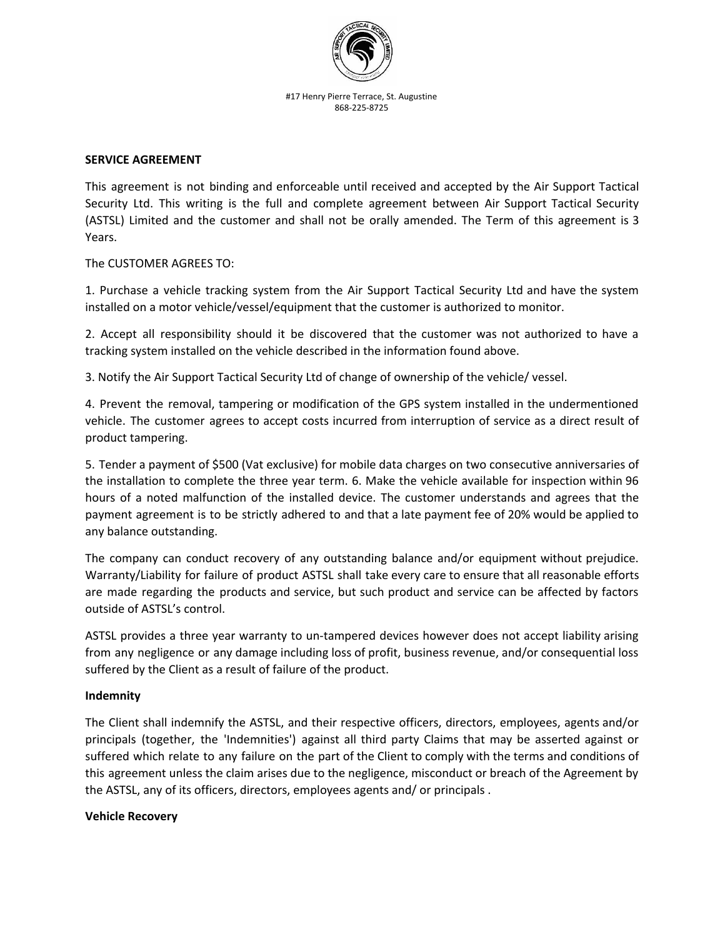

#17 Henry Pierre Terrace, St. Augustine 868-225-8725

## **SERVICE AGREEMENT**

This agreement is not binding and enforceable until received and accepted by the Air Support Tactical Security Ltd. This writing is the full and complete agreement between Air Support Tactical Security (ASTSL) Limited and the customer and shall not be orally amended. The Term of this agreement is 3 Years.

## The CUSTOMER AGREES TO:

1. Purchase a vehicle tracking system from the Air Support Tactical Security Ltd and have the system installed on a motor vehicle/vessel/equipment that the customer is authorized to monitor.

2. Accept all responsibility should it be discovered that the customer was not authorized to have a tracking system installed on the vehicle described in the information found above.

3. Notify the Air Support Tactical Security Ltd of change of ownership of the vehicle/ vessel.

4. Prevent the removal, tampering or modification of the GPS system installed in the undermentioned vehicle. The customer agrees to accept costs incurred from interruption of service as a direct result of product tampering.

5. Tender a payment of \$500 (Vat exclusive) for mobile data charges on two consecutive anniversaries of the installation to complete the three year term. 6. Make the vehicle available for inspection within 96 hours of a noted malfunction of the installed device. The customer understands and agrees that the payment agreement is to be strictly adhered to and that a late payment fee of 20% would be applied to any balance outstanding.

The company can conduct recovery of any outstanding balance and/or equipment without prejudice. Warranty/Liability for failure of product ASTSL shall take every care to ensure that all reasonable efforts are made regarding the products and service, but such product and service can be affected by factors outside of ASTSL's control.

ASTSL provides a three year warranty to un-tampered devices however does not accept liability arising from any negligence or any damage including loss of profit, business revenue, and/or consequential loss suffered by the Client as a result of failure of the product.

## **Indemnity**

The Client shall indemnify the ASTSL, and their respective officers, directors, employees, agents and/or principals (together, the 'Indemnities') against all third party Claims that may be asserted against or suffered which relate to any failure on the part of the Client to comply with the terms and conditions of this agreement unless the claim arises due to the negligence, misconduct or breach of the Agreement by the ASTSL, any of its officers, directors, employees agents and/ or principals .

## **Vehicle Recovery**